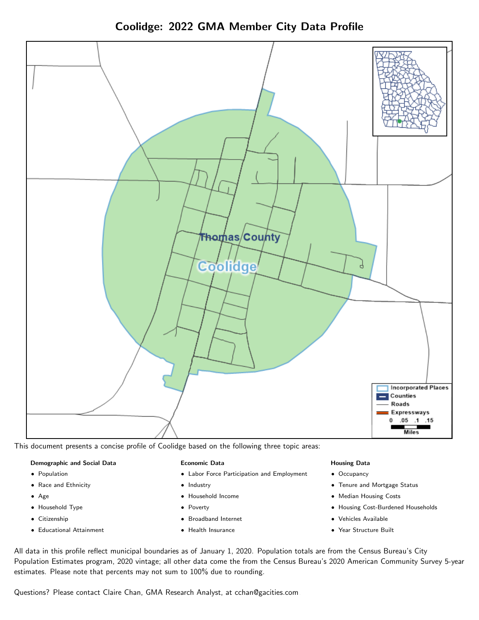Coolidge: 2022 GMA Member City Data Profile



This document presents a concise profile of Coolidge based on the following three topic areas:

#### Demographic and Social Data

- **•** Population
- Race and Ethnicity
- Age
- Household Type
- **Citizenship**
- Educational Attainment

#### Economic Data

- Labor Force Participation and Employment
- Industry
- Household Income
- Poverty
- Broadband Internet
- Health Insurance

#### Housing Data

- Occupancy
- Tenure and Mortgage Status
- Median Housing Costs
- Housing Cost-Burdened Households
- Vehicles Available
- Year Structure Built

All data in this profile reflect municipal boundaries as of January 1, 2020. Population totals are from the Census Bureau's City Population Estimates program, 2020 vintage; all other data come the from the Census Bureau's 2020 American Community Survey 5-year estimates. Please note that percents may not sum to 100% due to rounding.

Questions? Please contact Claire Chan, GMA Research Analyst, at [cchan@gacities.com.](mailto:cchan@gacities.com)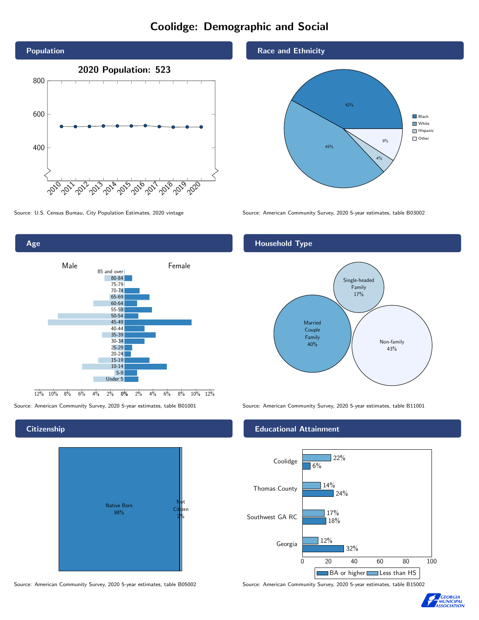# Coolidge: Demographic and Social



Age 0% 2% 4% 6% 8% 10% 12% Male **Female**  $12\%$  10% 8% 6% 4% 85 and over 80-84 75-79 70-74 65-69 60-64 55-59 50-54 45-49 40-44 35-39 30-34 25-29 20-24 15-19 10-14 5-9 Under 5

### **Citizenship**



Source: American Community Survey, 2020 5-year estimates, table B05002 Source: American Community Survey, 2020 5-year estimates, table B15002

#### Race and Ethnicity



Source: U.S. Census Bureau, City Population Estimates, 2020 vintage Source: American Community Survey, 2020 5-year estimates, table B03002

## Household Type



Source: American Community Survey, 2020 5-year estimates, table B01001 Source: American Community Survey, 2020 5-year estimates, table B11001

#### Educational Attainment



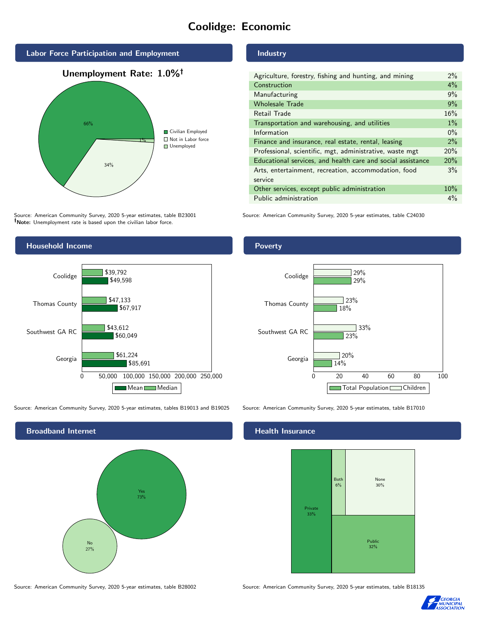# Coolidge: Economic



Source: American Community Survey, 2020 5-year estimates, table B23001 Note: Unemployment rate is based upon the civilian labor force.



Source: American Community Survey, 2020 5-year estimates, tables B19013 and B19025 Source: American Community Survey, 2020 5-year estimates, table B17010



Source: American Community Survey, 2020 5-year estimates, table B28002 Source: American Community Survey, 2020 5-year estimates, table B18135

## Industry

| Agriculture, forestry, fishing and hunting, and mining      | $2\%$ |
|-------------------------------------------------------------|-------|
| Construction                                                | 4%    |
| Manufacturing                                               | 9%    |
| <b>Wholesale Trade</b>                                      | 9%    |
| Retail Trade                                                | 16%   |
| Transportation and warehousing, and utilities               | $1\%$ |
| Information                                                 | $0\%$ |
| Finance and insurance, real estate, rental, leasing         | 2%    |
| Professional, scientific, mgt, administrative, waste mgt    | 20%   |
| Educational services, and health care and social assistance | 20%   |
| Arts, entertainment, recreation, accommodation, food        | 3%    |
| service                                                     |       |
| Other services, except public administration                | 10%   |
| Public administration                                       | $4\%$ |

Source: American Community Survey, 2020 5-year estimates, table C24030

#### **Poverty**



#### Health Insurance